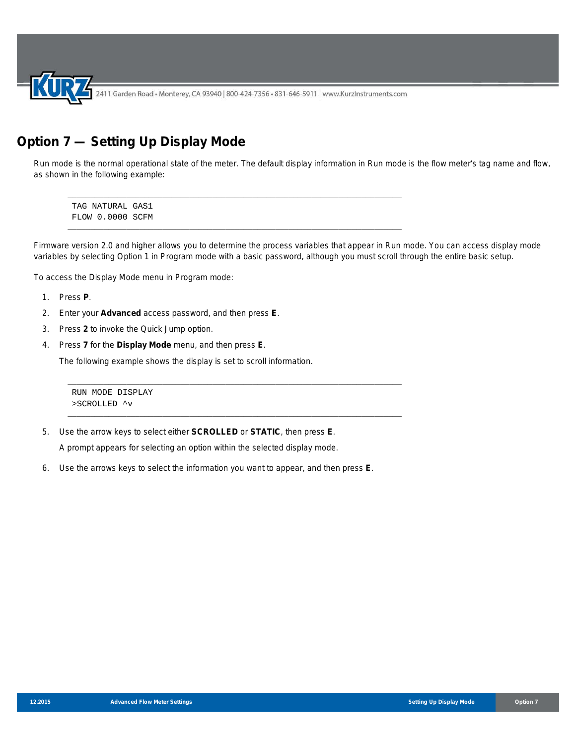2411 Garden Road • Monterey, CA 93940 | 800-424-7356 • 831-646-5911 | www.KurzInstruments.com

\_\_\_\_\_\_\_\_\_\_\_\_\_\_\_\_\_\_\_\_\_\_\_\_\_\_\_\_\_\_\_\_\_\_\_\_\_\_\_\_\_\_\_\_\_\_\_\_\_\_\_\_\_\_\_\_\_\_\_\_\_\_\_\_\_\_\_\_\_\_\_\_\_\_

\_\_\_\_\_\_\_\_\_\_\_\_\_\_\_\_\_\_\_\_\_\_\_\_\_\_\_\_\_\_\_\_\_\_\_\_\_\_\_\_\_\_\_\_\_\_\_\_\_\_\_\_\_\_\_\_\_\_\_\_\_\_\_\_\_\_\_\_\_\_\_\_\_\_

\_\_\_\_\_\_\_\_\_\_\_\_\_\_\_\_\_\_\_\_\_\_\_\_\_\_\_\_\_\_\_\_\_\_\_\_\_\_\_\_\_\_\_\_\_\_\_\_\_\_\_\_\_\_\_\_\_\_\_\_\_\_\_\_\_\_\_\_\_\_\_\_\_\_

# **Option 7 — Setting Up Display Mode**

Run mode is the normal operational state of the meter. The default display information in Run mode is the flow meter's tag name and flow, as shown in the following example:

\_\_\_\_\_\_\_\_\_\_\_\_\_\_\_\_\_\_\_\_\_\_\_\_\_\_\_\_\_\_\_\_\_\_\_\_\_\_\_\_\_\_\_\_\_\_\_\_\_\_\_\_\_\_\_\_\_\_\_\_\_\_\_\_\_\_\_\_\_\_\_\_\_\_ TAG NATURAL GAS1 FLOW 0.0000 SCFM

Firmware version 2.0 and higher allows you to determine the process variables that appear in Run mode. You can access display mode variables by selecting Option 1 in Program mode with a basic password, although you must scroll through the entire basic setup.

To access the Display Mode menu in Program mode:

- 1. Press **P**.
- 2. Enter your **Advanced** access password, and then press **E**.
- 3. Press **2** to invoke the Quick Jump option.
- 4. Press **7** for the **Display Mode** menu, and then press **E**.

The following example shows the display is set to scroll information.

RUN MODE DISPLAY >SCROLLED ^v

5. Use the arrow keys to select either **SCROLLED** or **STATIC**, then press **E**.

A prompt appears for selecting an option within the selected display mode.

6. Use the arrows keys to select the information you want to appear, and then press **E**.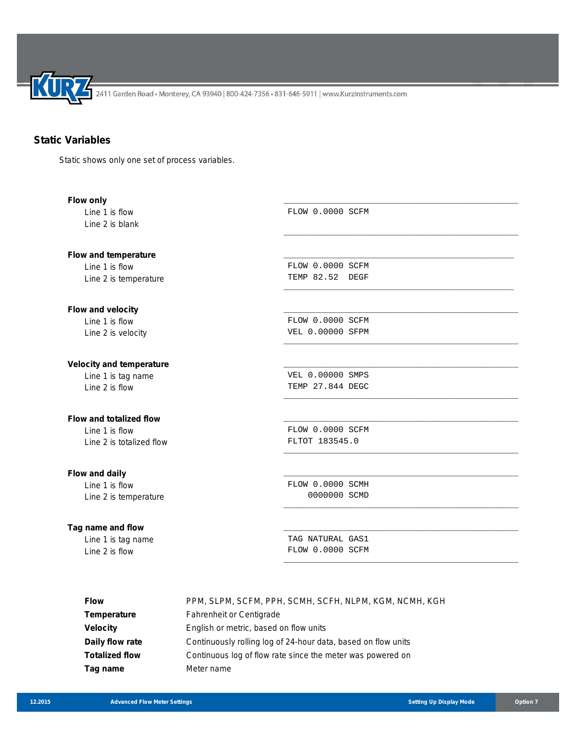2411 Garden Road • Monterey, CA 93940 | 800-424-7356 • 831-646-5911 | www.KurzInstruments.com

# **Static Variables**

Static shows only one set of process variables.

| Flow only                       |                         |
|---------------------------------|-------------------------|
| Line 1 is flow                  | FLOW 0.0000 SCFM        |
| Line 2 is blank                 |                         |
|                                 |                         |
| Flow and temperature            |                         |
| Line 1 is flow                  | FLOW 0.0000 SCFM        |
| Line 2 is temperature           | TEMP 82.52 DEGF         |
| Flow and velocity               |                         |
| Line 1 is flow                  | FLOW 0.0000 SCFM        |
| Line 2 is velocity              | <b>VEL 0.00000 SFPM</b> |
| <b>Velocity and temperature</b> |                         |
| Line 1 is tag name              | VEL 0.00000 SMPS        |
| Line 2 is flow                  | TEMP 27.844 DEGC        |
| Flow and totalized flow         |                         |
| Line 1 is flow                  | FLOW 0.0000 SCFM        |
| Line 2 is totalized flow        | FLTOT 183545.0          |
| Flow and daily                  |                         |
| Line 1 is flow                  | FLOW 0.0000 SCMH        |
| Line 2 is temperature           | 0000000 SCMD            |
| Tag name and flow               |                         |
| Line 1 is tag name              | TAG NATURAL GAS1        |
| Line 2 is flow                  | FLOW 0.0000 SCFM        |
|                                 |                         |

| <b>Flow</b>           | PPM, SLPM, SCFM, PPH, SCMH, SCFH, NLPM, KGM, NCMH, KGH        |
|-----------------------|---------------------------------------------------------------|
| <b>Temperature</b>    | <b>Fahrenheit or Centigrade</b>                               |
| <b>Velocity</b>       | English or metric, based on flow units                        |
| Daily flow rate       | Continuously rolling log of 24-hour data, based on flow units |
| <b>Totalized flow</b> | Continuous log of flow rate since the meter was powered on    |
| Tag name              | Meter name                                                    |